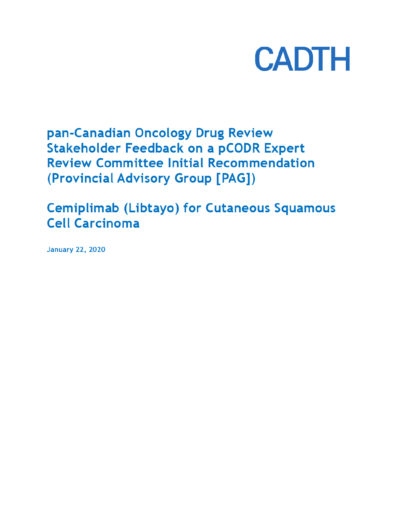

pan-Canadian Oncology Drug Review **Stakeholder Feedback on a pCODR Expert Review Committee Initial Recommendation** (Provincial Advisory Group [PAG])

**Cemiplimab (Libtayo) for Cutaneous Squamous Cell Carcinoma** 

**January 22, 2020**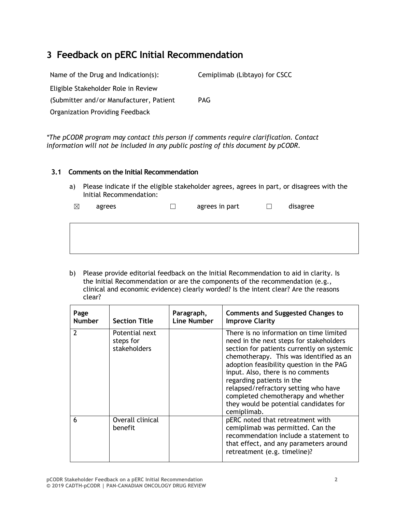# **3 Feedback on pERC Initial Recommendation**

| Name of the Drug and Indication(s):      | Cemiplimab (Libtayo) for CSCC |
|------------------------------------------|-------------------------------|
| Eligible Stakeholder Role in Review      |                               |
| (Submitter and/or Manufacturer, Patient) | <b>PAG</b>                    |
| <b>Organization Providing Feedback</b>   |                               |

*\*The pCODR program may contact this person if comments require clarification. Contact information will not be included in any public posting of this document by pCODR.*

### **3.1 Comments on the Initial Recommendation**

a) Please indicate if the eligible stakeholder agrees, agrees in part, or disagrees with the Initial Recommendation:

| $\boxtimes$ | agrees | agrees in part | disagree |
|-------------|--------|----------------|----------|
|             |        |                |          |

b) Please provide editorial feedback on the Initial Recommendation to aid in clarity. Is the Initial Recommendation or are the components of the recommendation (e.g., clinical and economic evidence) clearly worded? Is the intent clear? Are the reasons clear?

| Page<br><b>Number</b>    | <b>Section Title</b>                        | Paragraph,<br>Line Number | <b>Comments and Suggested Changes to</b><br><b>Improve Clarity</b>                                                                                                                                                                                                                                                                                                                                                               |
|--------------------------|---------------------------------------------|---------------------------|----------------------------------------------------------------------------------------------------------------------------------------------------------------------------------------------------------------------------------------------------------------------------------------------------------------------------------------------------------------------------------------------------------------------------------|
| $\overline{\phantom{a}}$ | Potential next<br>steps for<br>stakeholders |                           | There is no information on time limited<br>need in the next steps for stakeholders<br>section for patients currently on systemic<br>chemotherapy. This was identified as an<br>adoption feasibility question in the PAG<br>input. Also, there is no comments<br>regarding patients in the<br>relapsed/refractory setting who have<br>completed chemotherapy and whether<br>they would be potential candidates for<br>cemiplimab. |
| 6                        | Overall clinical<br><b>benefit</b>          |                           | pERC noted that retreatment with<br>cemiplimab was permitted. Can the<br>recommendation include a statement to<br>that effect, and any parameters around<br>retreatment (e.g. timeline)?                                                                                                                                                                                                                                         |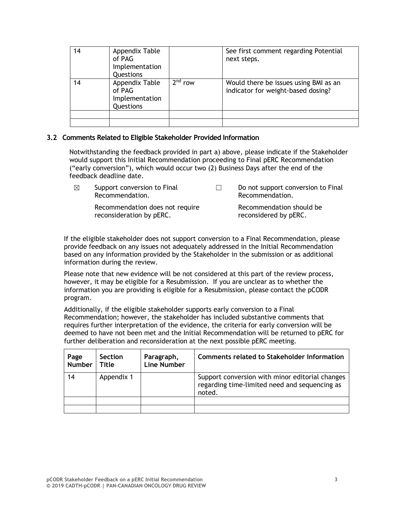| 14 | Appendix Table<br>of PAG<br>Implementation<br>Questions |                     | See first comment regarding Potential<br>next steps.                        |
|----|---------------------------------------------------------|---------------------|-----------------------------------------------------------------------------|
| 14 | Appendix Table<br>of PAG<br>Implementation<br>Questions | 2 <sup>nd</sup> row | Would there be issues using BMI as an<br>indicator for weight-based dosing? |
|    |                                                         |                     |                                                                             |
|    |                                                         |                     |                                                                             |

### **3.2 Comments Related to Eligible Stakeholder Provided Information**

Notwithstanding the feedback provided in part a) above, please indicate if the Stakeholder would support this Initial Recommendation proceeding to Final pERC Recommendation ("early conversion"), which would occur two (2) Business Days after the end of the feedback deadline date.

| ⊠ | Support conversion to Final<br>Recommendation.              | Do not support conversion to Final<br>Recommendation. |  |
|---|-------------------------------------------------------------|-------------------------------------------------------|--|
|   | Recommendation does not require<br>reconsideration by pERC. | Recommendation should be<br>reconsidered by pERC.     |  |

If the eligible stakeholder does not support conversion to a Final Recommendation, please provide feedback on any issues not adequately addressed in the Initial Recommendation based on any information provided by the Stakeholder in the submission or as additional information during the review.

Please note that new evidence will be not considered at this part of the review process, however, it may be eligible for a Resubmission. If you are unclear as to whether the information you are providing is eligible for a Resubmission, please contact the pCODR program.

Additionally, if the eligible stakeholder supports early conversion to a Final Recommendation; however, the stakeholder has included substantive comments that requires further interpretation of the evidence, the criteria for early conversion will be deemed to have not been met and the Initial Recommendation will be returned to pERC for further deliberation and reconsideration at the next possible pERC meeting.

| Page<br><b>Number</b> | <b>Section</b><br>Title | Paragraph,<br><b>Line Number</b> | <b>Comments related to Stakeholder Information</b>                                                         |
|-----------------------|-------------------------|----------------------------------|------------------------------------------------------------------------------------------------------------|
| 14                    | Appendix 1              |                                  | Support conversion with minor editorial changes<br>regarding time-limited need and sequencing as<br>noted. |
|                       |                         |                                  |                                                                                                            |
|                       |                         |                                  |                                                                                                            |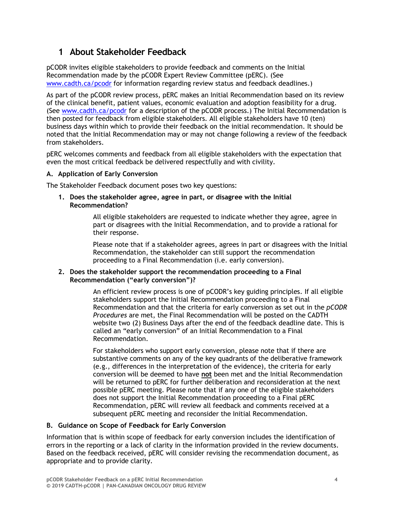# **1 About Stakeholder Feedback**

pCODR invites eligible stakeholders to provide feedback and comments on the Initial Recommendation made by the pCODR Expert Review Committee (pERC). (See www.cadth.ca/pcodr for information regarding review status and feedback deadlines.)

As part of the pCODR review process, pERC makes an Initial Recommendation based on its review of the clinical benefit, patient values, economic evaluation and adoption feasibility for a drug. (See www.cadth.ca/pcodr for a description of the pCODR process.) The Initial Recommendation is then posted for feedback from eligible stakeholders. All eligible stakeholders have 10 (ten) business days within which to provide their feedback on the initial recommendation. It should be noted that the Initial Recommendation may or may not change following a review of the feedback from stakeholders.

pERC welcomes comments and feedback from all eligible stakeholders with the expectation that even the most critical feedback be delivered respectfully and with civility.

### **A. Application of Early Conversion**

The Stakeholder Feedback document poses two key questions:

**1. Does the stakeholder agree, agree in part, or disagree with the Initial Recommendation?**

> All eligible stakeholders are requested to indicate whether they agree, agree in part or disagrees with the Initial Recommendation, and to provide a rational for their response.

Please note that if a stakeholder agrees, agrees in part or disagrees with the Initial Recommendation, the stakeholder can still support the recommendation proceeding to a Final Recommendation (i.e. early conversion).

#### **2. Does the stakeholder support the recommendation proceeding to a Final Recommendation ("early conversion")?**

An efficient review process is one of pCODR's key guiding principles. If all eligible stakeholders support the Initial Recommendation proceeding to a Final Recommendation and that the criteria for early conversion as set out in the *pCODR Procedures* are met, the Final Recommendation will be posted on the CADTH website two (2) Business Days after the end of the feedback deadline date. This is called an "early conversion" of an Initial Recommendation to a Final Recommendation.

For stakeholders who support early conversion, please note that if there are substantive comments on any of the key quadrants of the deliberative framework (e.g., differences in the interpretation of the evidence), the criteria for early conversion will be deemed to have **not** been met and the Initial Recommendation will be returned to pERC for further deliberation and reconsideration at the next possible pERC meeting. Please note that if any one of the eligible stakeholders does not support the Initial Recommendation proceeding to a Final pERC Recommendation, pERC will review all feedback and comments received at a subsequent pERC meeting and reconsider the Initial Recommendation.

#### **B. Guidance on Scope of Feedback for Early Conversion**

Information that is within scope of feedback for early conversion includes the identification of errors in the reporting or a lack of clarity in the information provided in the review documents. Based on the feedback received, pERC will consider revising the recommendation document, as appropriate and to provide clarity.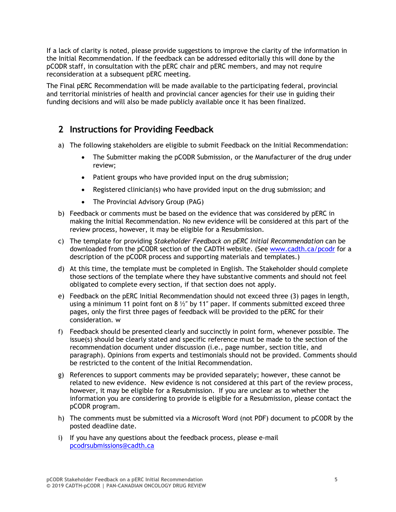If a lack of clarity is noted, please provide suggestions to improve the clarity of the information in the Initial Recommendation. If the feedback can be addressed editorially this will done by the pCODR staff, in consultation with the pERC chair and pERC members, and may not require reconsideration at a subsequent pERC meeting.

The Final pERC Recommendation will be made available to the participating federal, provincial and territorial ministries of health and provincial cancer agencies for their use in guiding their funding decisions and will also be made publicly available once it has been finalized.

## **2 Instructions for Providing Feedback**

- a) The following stakeholders are eligible to submit Feedback on the Initial Recommendation:
	- The Submitter making the pCODR Submission, or the Manufacturer of the drug under review;
	- Patient groups who have provided input on the drug submission;
	- Registered clinician(s) who have provided input on the drug submission; and
	- The Provincial Advisory Group (PAG)
- b) Feedback or comments must be based on the evidence that was considered by pERC in making the Initial Recommendation. No new evidence will be considered at this part of the review process, however, it may be eligible for a Resubmission.
- c) The template for providing *Stakeholder Feedback on pERC Initial Recommendation* can be downloaded from the pCODR section of the CADTH website. (See www.cadth.ca/pcodr for a description of the pCODR process and supporting materials and templates.)
- d) At this time, the template must be completed in English. The Stakeholder should complete those sections of the template where they have substantive comments and should not feel obligated to complete every section, if that section does not apply.
- e) Feedback on the pERC Initial Recommendation should not exceed three (3) pages in length, using a minimum 11 point font on 8  $\frac{1}{2}$ " by 11" paper. If comments submitted exceed three pages, only the first three pages of feedback will be provided to the pERC for their consideration. w
- f) Feedback should be presented clearly and succinctly in point form, whenever possible. The issue(s) should be clearly stated and specific reference must be made to the section of the recommendation document under discussion (i.e., page number, section title, and paragraph). Opinions from experts and testimonials should not be provided. Comments should be restricted to the content of the Initial Recommendation.
- g) References to support comments may be provided separately; however, these cannot be related to new evidence. New evidence is not considered at this part of the review process, however, it may be eligible for a Resubmission. If you are unclear as to whether the information you are considering to provide is eligible for a Resubmission, please contact the pCODR program.
- h) The comments must be submitted via a Microsoft Word (not PDF) document to pCODR by the posted deadline date.
- i) If you have any questions about the feedback process, please e-mail pcodrsubmissions@cadth.ca